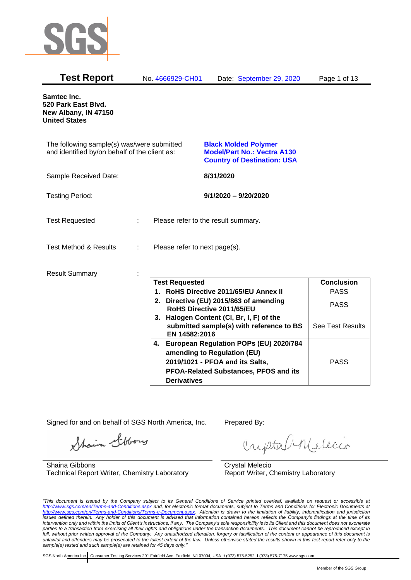

| Samtec Inc.<br>520 Park East Blvd.<br>New Albany, IN 47150<br><b>United States</b>                                                                                                                     |
|--------------------------------------------------------------------------------------------------------------------------------------------------------------------------------------------------------|
|                                                                                                                                                                                                        |
| The following sample(s) was/were submitted<br><b>Black Molded Polymer</b><br>and identified by/on behalf of the client as:<br><b>Model/Part No.: Vectra A130</b><br><b>Country of Destination: USA</b> |
| Sample Received Date:<br>8/31/2020                                                                                                                                                                     |
| <b>Testing Period:</b><br>$9/1/2020 - 9/20/2020$                                                                                                                                                       |
| <b>Test Requested</b><br>Please refer to the result summary.                                                                                                                                           |
| <b>Test Method &amp; Results</b><br>Please refer to next page(s).<br>÷                                                                                                                                 |
| <b>Result Summary</b>                                                                                                                                                                                  |
| <b>Test Requested</b><br><b>Conclusion</b><br>RoHS Directive 2011/65/EU Annex II<br><b>PASS</b><br>1.                                                                                                  |
| 2. Directive (EU) 2015/863 of amending<br><b>PASS</b><br>RoHS Directive 2011/65/EU                                                                                                                     |
| 3. Halogen Content (CI, Br, I, F) of the<br>submitted sample(s) with reference to BS<br>See Test Results<br>EN 14582:2016                                                                              |
| 4. European Regulation POPs (EU) 2020/784<br>amending to Regulation (EU)<br><b>PASS</b><br>2019/1021 - PFOA and its Salts,<br>PFOA-Related Substances, PFOS and its<br><b>Derivatives</b>              |

Signed for and on behalf of SGS North America, Inc. Prepared By:

Shain Stbory

Shaina Gibbons Technical Report Writer, Chemistry Laboratory

criptabillecio

Crystal Melecio Report Writer, Chemistry Laboratory

*"This document is issued by the Company subject to its General Conditions of Service printed overleaf, available on request or accessible at <http://www.sgs.com/en/Terms-and-Conditions.aspx> and, for electronic format documents, subject to Terms and Conditions for Electronic Documents at [http://www.sgs.com/en/Terms-and-Conditions/Terms-e-Document.aspx.](http://www.sgs.com/en/Terms-and-Conditions/Terms-e-Document.aspx) Attention is drawn to the limitation of liability, indemnification and jurisdiction issues defined therein. Any holder of this document is advised that information contained hereon reflects the Company's findings at the time of its intervention only and within the limits of Client's instructions, if any. The Company's sole responsibility is to its Client and this document does not exonerate parties to a transaction from exercising all their rights and obligations under the transaction documents. This document cannot be reproduced except in full, without prior written approval of the Company. Any unauthorized alteration, forgery or falsification of the content or appearance of this document is unlawful and offenders may be prosecuted to the fullest extent of the law. Unless otherwise stated the results shown in this test report refer only to the sample(s) tested and such sample(s) are retained for 45 days only."*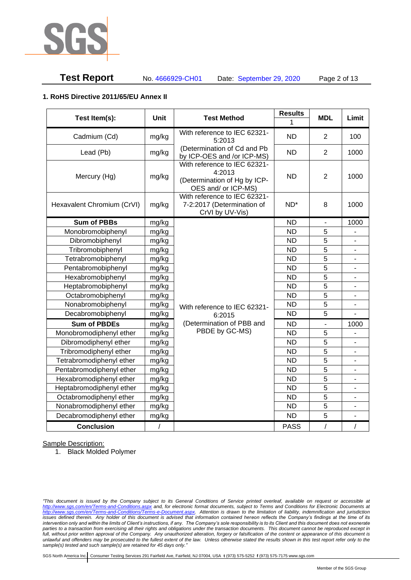

# **Test Report** No. 4666929-CH01 Date: September 29, 2020 Page 2 of 13

#### **1. RoHS Directive 2011/65/EU Annex II**

| Test Item(s):              | <b>Unit</b> | <b>Test Method</b>                                                                            | <b>Results</b><br>1 | <b>MDL</b>     | Limit                    |
|----------------------------|-------------|-----------------------------------------------------------------------------------------------|---------------------|----------------|--------------------------|
| Cadmium (Cd)               | mg/kg       | With reference to IEC 62321-<br>5:2013                                                        | <b>ND</b>           | $\overline{2}$ | 100                      |
| Lead (Pb)                  | mg/kg       | (Determination of Cd and Pb<br>by ICP-OES and /or ICP-MS)                                     | <b>ND</b>           | $\overline{2}$ | 1000                     |
| Mercury (Hg)               | mg/kg       | With reference to IEC 62321-<br>4:2013<br>(Determination of Hg by ICP-<br>OES and/ or ICP-MS) | <b>ND</b>           | 2              | 1000                     |
| Hexavalent Chromium (CrVI) | mg/kg       | With reference to IEC 62321-<br>7-2:2017 (Determination of<br>CrVI by UV-Vis)                 | ND <sup>*</sup>     | 8              | 1000                     |
| <b>Sum of PBBs</b>         | mg/kg       |                                                                                               | <b>ND</b>           | $\blacksquare$ | 1000                     |
| Monobromobiphenyl          | mg/kg       |                                                                                               | <b>ND</b>           | 5              |                          |
| Dibromobiphenyl            | mg/kg       |                                                                                               | <b>ND</b>           | 5              |                          |
| Tribromobiphenyl           | mg/kg       |                                                                                               | <b>ND</b>           | 5              | $\blacksquare$           |
| Tetrabromobiphenyl         | mg/kg       |                                                                                               | <b>ND</b>           | $\overline{5}$ | $\overline{a}$           |
| Pentabromobiphenyl         | mg/kg       |                                                                                               | <b>ND</b>           | 5              |                          |
| Hexabromobiphenyl          | mg/kg       |                                                                                               | <b>ND</b>           | 5              | -                        |
| Heptabromobiphenyl         | mg/kg       |                                                                                               | <b>ND</b>           | 5              | $\blacksquare$           |
| Octabromobiphenyl          | mg/kg       |                                                                                               | <b>ND</b>           | 5              | -                        |
| Nonabromobiphenyl          | mg/kg       | With reference to IEC 62321-                                                                  | <b>ND</b>           | 5              |                          |
| Decabromobiphenyl          | mg/kg       | 6:2015                                                                                        | <b>ND</b>           | 5              |                          |
| <b>Sum of PBDEs</b>        | mg/kg       | (Determination of PBB and                                                                     | <b>ND</b>           | $\overline{a}$ | 1000                     |
| Monobromodiphenyl ether    | mg/kg       | PBDE by GC-MS)                                                                                | <b>ND</b>           | 5              |                          |
| Dibromodiphenyl ether      | mg/kg       |                                                                                               | <b>ND</b>           | 5              | -                        |
| Tribromodiphenyl ether     | mg/kg       |                                                                                               | <b>ND</b>           | 5              | -                        |
| Tetrabromodiphenyl ether   | mg/kg       |                                                                                               | <b>ND</b>           | 5              | -                        |
| Pentabromodiphenyl ether   | mg/kg       |                                                                                               | <b>ND</b>           | 5              |                          |
| Hexabromodiphenyl ether    | mg/kg       |                                                                                               | <b>ND</b>           | 5              |                          |
| Heptabromodiphenyl ether   | mg/kg       |                                                                                               | <b>ND</b>           | 5              | $\blacksquare$           |
| Octabromodiphenyl ether    | mg/kg       |                                                                                               | <b>ND</b>           | $\overline{5}$ | $\overline{a}$           |
| Nonabromodiphenyl ether    | mg/kg       |                                                                                               | <b>ND</b>           | 5              |                          |
| Decabromodiphenyl ether    | mg/kg       |                                                                                               | <b>ND</b>           | 5              | $\overline{\phantom{m}}$ |
| <b>Conclusion</b>          | $\sqrt{2}$  |                                                                                               | <b>PASS</b>         | $\overline{1}$ | $\sqrt{2}$               |

Sample Description:

1. Black Molded Polymer

*"This document is issued by the Company subject to its General Conditions of Service printed overleaf, available on request or accessible at <http://www.sgs.com/en/Terms-and-Conditions.aspx> and, for electronic format documents, subject to Terms and Conditions for Electronic Documents at [http://www.sgs.com/en/Terms-and-Conditions/Terms-e-Document.aspx.](http://www.sgs.com/en/Terms-and-Conditions/Terms-e-Document.aspx) Attention is drawn to the limitation of liability, indemnification and jurisdiction issues defined therein. Any holder of this document is advised that information contained hereon reflects the Company's findings at the time of its intervention only and within the limits of Client's instructions, if any. The Company's sole responsibility is to its Client and this document does not exonerate parties to a transaction from exercising all their rights and obligations under the transaction documents. This document cannot be reproduced except in full, without prior written approval of the Company. Any unauthorized alteration, forgery or falsification of the content or appearance of this document is unlawful and offenders may be prosecuted to the fullest extent of the law. Unless otherwise stated the results shown in this test report refer only to the sample(s) tested and such sample(s) are retained for 45 days only."*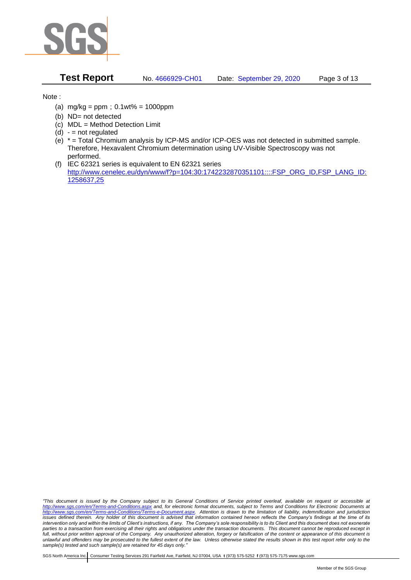

**Test Report** No. 4666929-CH01 Date: September 29, 2020 Page 3 of 13

Note :

- (a)  $mg/kg = ppm$ ;  $0.1wt% = 1000ppm$
- (b) ND= not detected
- (c) MDL = Method Detection Limit
- $(d) -$  = not regulated
- (e) \* = Total Chromium analysis by ICP-MS and/or ICP-OES was not detected in submitted sample. Therefore, Hexavalent Chromium determination using UV-Visible Spectroscopy was not performed.
- (f) IEC 62321 series is equivalent to EN 62321 series [http://www.cenelec.eu/dyn/www/f?p=104:30:1742232870351101::::FSP\\_ORG\\_ID,FSP\\_LANG\\_ID:](http://www.cenelec.eu/dyn/www/f?p=104:30:1742232870351101::::FSP_ORG_ID,FSP_LANG_ID:1258637,25) [1258637,25](http://www.cenelec.eu/dyn/www/f?p=104:30:1742232870351101::::FSP_ORG_ID,FSP_LANG_ID:1258637,25)

*"This document is issued by the Company subject to its General Conditions of Service printed overleaf, available on request or accessible at <http://www.sgs.com/en/Terms-and-Conditions.aspx> and, for electronic format documents, subject to Terms and Conditions for Electronic Documents at [http://www.sgs.com/en/Terms-and-Conditions/Terms-e-Document.aspx.](http://www.sgs.com/en/Terms-and-Conditions/Terms-e-Document.aspx) Attention is drawn to the limitation of liability, indemnification and jurisdiction issues defined therein. Any holder of this document is advised that information contained hereon reflects the Company's findings at the time of its intervention only and within the limits of Client's instructions, if any. The Company's sole responsibility is to its Client and this document does not exonerate parties to a transaction from exercising all their rights and obligations under the transaction documents. This document cannot be reproduced except in full, without prior written approval of the Company. Any unauthorized alteration, forgery or falsification of the content or appearance of this document is unlawful and offenders may be prosecuted to the fullest extent of the law. Unless otherwise stated the results shown in this test report refer only to the sample(s) tested and such sample(s) are retained for 45 days only."*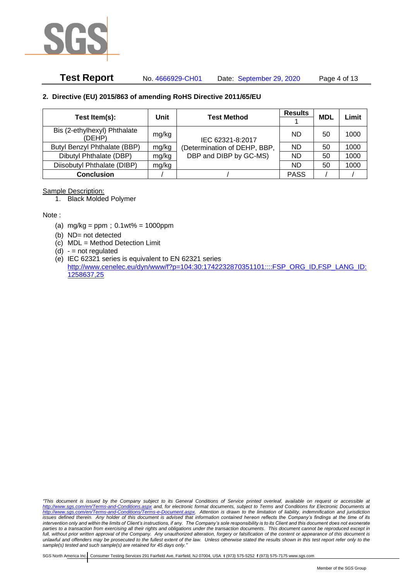

# **Test Report** No. 4666929-CH01 Date: September 29, 2020 Page 4 of 13

### **2. Directive (EU) 2015/863 of amending RoHS Directive 2011/65/EU**

|                                        | Unit  | <b>Results</b><br><b>Test Method</b> |             | <b>MDL</b> | Limit |
|----------------------------------------|-------|--------------------------------------|-------------|------------|-------|
| Test Item(s):                          |       |                                      |             |            |       |
| Bis (2-ethylhexyl) Phthalate<br>(DEHP) | mg/kg | IEC 62321-8:2017                     | ND          | 50         | 1000  |
| Butyl Benzyl Phthalate (BBP)           | mg/kg | (Determination of DEHP, BBP,         | ND.         | 50         | 1000  |
| Dibutyl Phthalate (DBP)                | mg/kg | DBP and DIBP by GC-MS)               | ND.         | 50         | 1000  |
| Diisobutyl Phthalate (DIBP)            | mg/kg |                                      | ND.         | 50         | 1000  |
| <b>Conclusion</b>                      |       |                                      | <b>PASS</b> |            |       |

#### Sample Description:

1. Black Molded Polymer

Note :

- (a)  $mg/kg = ppm$ ;  $0.1wt% = 1000ppm$
- (b) ND= not detected
- (c) MDL = Method Detection Limit
- $(d) -$  = not regulated
- (e) IEC 62321 series is equivalent to EN 62321 series [http://www.cenelec.eu/dyn/www/f?p=104:30:1742232870351101::::FSP\\_ORG\\_ID,FSP\\_LANG\\_ID:](http://www.cenelec.eu/dyn/www/f?p=104:30:1742232870351101::::FSP_ORG_ID,FSP_LANG_ID:1258637,25) [1258637,25](http://www.cenelec.eu/dyn/www/f?p=104:30:1742232870351101::::FSP_ORG_ID,FSP_LANG_ID:1258637,25)

*"This document is issued by the Company subject to its General Conditions of Service printed overleaf, available on request or accessible at <http://www.sgs.com/en/Terms-and-Conditions.aspx> and, for electronic format documents, subject to Terms and Conditions for Electronic Documents at [http://www.sgs.com/en/Terms-and-Conditions/Terms-e-Document.aspx.](http://www.sgs.com/en/Terms-and-Conditions/Terms-e-Document.aspx) Attention is drawn to the limitation of liability, indemnification and jurisdiction issues defined therein. Any holder of this document is advised that information contained hereon reflects the Company's findings at the time of its intervention only and within the limits of Client's instructions, if any. The Company's sole responsibility is to its Client and this document does not exonerate parties to a transaction from exercising all their rights and obligations under the transaction documents. This document cannot be reproduced except in full, without prior written approval of the Company. Any unauthorized alteration, forgery or falsification of the content or appearance of this document is unlawful and offenders may be prosecuted to the fullest extent of the law. Unless otherwise stated the results shown in this test report refer only to the sample(s) tested and such sample(s) are retained for 45 days only."*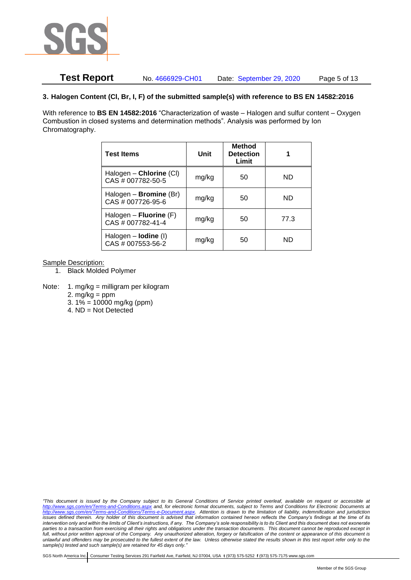

## **Test Report** No. 4666929-CH01 Date: September 29, 2020 Page 5 of 13

#### **3. Halogen Content (Cl, Br, I, F) of the submitted sample(s) with reference to BS EN 14582:2016**

With reference to **BS EN 14582:2016** "Characterization of waste – Halogen and sulfur content – Oxygen Combustion in closed systems and determination methods". Analysis was performed by Ion Chromatography.

| <b>Test Items</b>                                  | Unit  | <b>Method</b><br><b>Detection</b><br>Limit |      |
|----------------------------------------------------|-------|--------------------------------------------|------|
| Halogen - Chlorine (CI)<br>CAS # 007782-50-5       | mg/kg | 50                                         | ND   |
| Halogen - <b>Bromine</b> (Br)<br>CAS # 007726-95-6 | mg/kg | 50                                         | ND   |
| Halogen – Fluorine $(F)$<br>CAS # 007782-41-4      | mg/kg | 50                                         | 77.3 |
| Halogen $-$ lodine (I)<br>CAS # 007553-56-2        | mg/kg | 50                                         | ND   |

Sample Description:

- 1. Black Molded Polymer
- Note: 1. mg/kg = milligram per kilogram
	- 2.  $mg/kg = ppm$
	- 3.  $1\% = 10000$  mg/kg (ppm)
	- 4. ND = Not Detected

*"This document is issued by the Company subject to its General Conditions of Service printed overleaf, available on request or accessible at <http://www.sgs.com/en/Terms-and-Conditions.aspx> and, for electronic format documents, subject to Terms and Conditions for Electronic Documents at [http://www.sgs.com/en/Terms-and-Conditions/Terms-e-Document.aspx.](http://www.sgs.com/en/Terms-and-Conditions/Terms-e-Document.aspx) Attention is drawn to the limitation of liability, indemnification and jurisdiction issues defined therein. Any holder of this document is advised that information contained hereon reflects the Company's findings at the time of its intervention only and within the limits of Client's instructions, if any. The Company's sole responsibility is to its Client and this document does not exonerate parties to a transaction from exercising all their rights and obligations under the transaction documents. This document cannot be reproduced except in full, without prior written approval of the Company. Any unauthorized alteration, forgery or falsification of the content or appearance of this document is unlawful and offenders may be prosecuted to the fullest extent of the law. Unless otherwise stated the results shown in this test report refer only to the sample(s) tested and such sample(s) are retained for 45 days only."*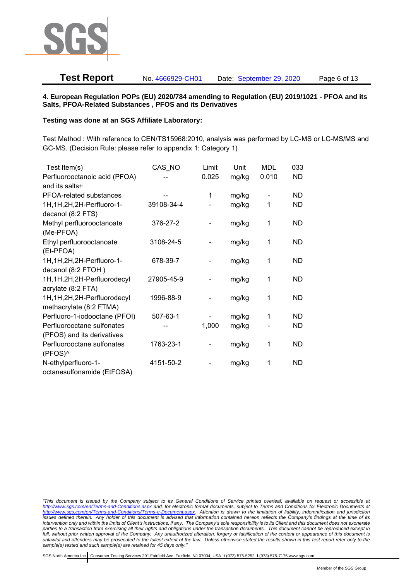

# **Test Report** No. 4666929-CH01 Date: September 29, 2020 Page 6 of 13

#### **4. European Regulation POPs (EU) 2020/784 amending to Regulation (EU) 2019/1021 - PFOA and its Salts, PFOA-Related Substances , PFOS and its Derivatives**

#### **Testing was done at an SGS Affiliate Laboratory:**

Test Method : With reference to CEN/TS15968:2010, analysis was performed by LC-MS or LC-MS/MS and GC-MS. (Decision Rule: please refer to appendix 1: Category 1)

| Test Item(s)                  | CAS_NO     | Limit | Unit  | <b>MDL</b> | 033       |
|-------------------------------|------------|-------|-------|------------|-----------|
| Perfluorooctanoic acid (PFOA) |            | 0.025 | mg/kg | 0.010      | <b>ND</b> |
| and its salts+                |            |       |       |            |           |
| PFOA-related substances       |            | 1     | mg/kg |            | ND        |
| 1H, 1H, 2H, 2H-Perfluoro-1-   | 39108-34-4 |       | mg/kg | 1          | ND.       |
| decanol (8:2 FTS)             |            |       |       |            |           |
| Methyl perfluorooctanoate     | 376-27-2   |       | mg/kg | 1          | <b>ND</b> |
| (Me-PFOA)                     |            |       |       |            |           |
| Ethyl perfluorooctanoate      | 3108-24-5  |       | mg/kg | 1          | <b>ND</b> |
| (Et-PFOA)                     |            |       |       |            |           |
| 1H, 1H, 2H, 2H-Perfluoro-1-   | 678-39-7   |       | mg/kg | 1          | ND        |
| decanol (8:2 FTOH)            |            |       |       |            |           |
| 1H, 1H, 2H, 2H-Perfluorodecyl | 27905-45-9 |       | mg/kg | 1          | <b>ND</b> |
| acrylate (8:2 FTA)            |            |       |       |            |           |
| 1H, 1H, 2H, 2H-Perfluorodecyl | 1996-88-9  |       | mg/kg | 1          | <b>ND</b> |
| methacrylate (8:2 FTMA)       |            |       |       |            |           |
| Perfluoro-1-iodooctane (PFOI) | 507-63-1   |       | mg/kg | 1          | <b>ND</b> |
| Perfluorooctane sulfonates    |            | 1,000 | mg/kg |            | ND        |
| (PFOS) and its derivatives    |            |       |       |            |           |
| Perfluorooctane sulfonates    | 1763-23-1  |       | mg/kg | 1          | <b>ND</b> |
| (PFOS)^                       |            |       |       |            |           |
| N-ethylperfluoro-1-           | 4151-50-2  |       | mg/kg | 1          | <b>ND</b> |
| octanesulfonamide (EtFOSA)    |            |       |       |            |           |

*<sup>&</sup>quot;This document is issued by the Company subject to its General Conditions of Service printed overleaf, available on request or accessible at <http://www.sgs.com/en/Terms-and-Conditions.aspx> and, for electronic format documents, subject to Terms and Conditions for Electronic Documents at [http://www.sgs.com/en/Terms-and-Conditions/Terms-e-Document.aspx.](http://www.sgs.com/en/Terms-and-Conditions/Terms-e-Document.aspx) Attention is drawn to the limitation of liability, indemnification and jurisdiction issues defined therein. Any holder of this document is advised that information contained hereon reflects the Company's findings at the time of its intervention only and within the limits of Client's instructions, if any. The Company's sole responsibility is to its Client and this document does not exonerate parties to a transaction from exercising all their rights and obligations under the transaction documents. This document cannot be reproduced except in full, without prior written approval of the Company. Any unauthorized alteration, forgery or falsification of the content or appearance of this document is unlawful and offenders may be prosecuted to the fullest extent of the law. Unless otherwise stated the results shown in this test report refer only to the sample(s) tested and such sample(s) are retained for 45 days only."*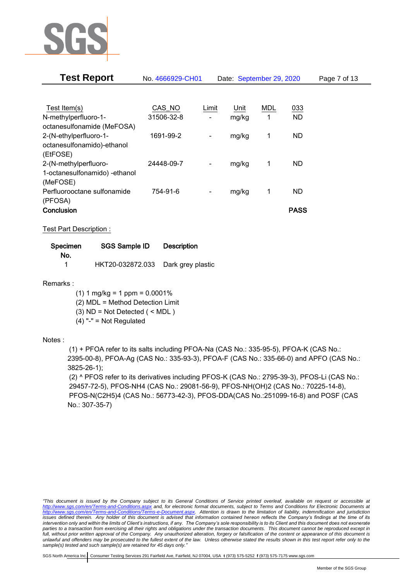

| Test Report                   | No. 4666929-CH01 |                              | Date: September 29, 2020 |            |             | Page 7 of 13 |
|-------------------------------|------------------|------------------------------|--------------------------|------------|-------------|--------------|
|                               |                  |                              |                          |            |             |              |
| Test Item(s)                  | CAS NO           | Limit                        | Unit                     | <b>MDL</b> | 033         |              |
| N-methylperfluoro-1-          | 31506-32-8       |                              | mg/kg                    | 1          | <b>ND</b>   |              |
| octanesulfonamide (MeFOSA)    |                  |                              |                          |            |             |              |
| 2-(N-ethylperfluoro-1-        | 1691-99-2        | $\qquad \qquad \blacksquare$ | mg/kg                    | 1          | <b>ND</b>   |              |
| octanesulfonamido)-ethanol    |                  |                              |                          |            |             |              |
| (EtFOSE)                      |                  |                              |                          |            |             |              |
| 2-(N-methylperfluoro-         | 24448-09-7       | $\overline{\phantom{a}}$     | mg/kg                    | 1          | <b>ND</b>   |              |
| 1-octanesulfonamido) -ethanol |                  |                              |                          |            |             |              |
| (MeFOSE)                      |                  |                              |                          |            |             |              |
| Perfluorooctane sulfonamide   | 754-91-6         |                              | mg/kg                    | 1          | <b>ND</b>   |              |
| (PFOSA)                       |                  |                              |                          |            |             |              |
| Conclusion                    |                  |                              |                          |            | <b>PASS</b> |              |

Test Part Description :

| Specimen | SGS Sample ID                      | <b>Description</b> |
|----------|------------------------------------|--------------------|
| No.      |                                    |                    |
|          | HKT20-032872.033 Dark grey plastic |                    |

Remarks :

 $(1)$  1 mg/kg = 1 ppm = 0.0001%

(2) MDL = Method Detection Limit

(3) ND = Not Detected ( < MDL )

 $(4)$  "-" = Not Regulated

### Notes :

(1) + PFOA refer to its salts including PFOA-Na (CAS No.: 335-95-5), PFOA-K (CAS No.: 2395-00-8), PFOA-Ag (CAS No.: 335-93-3), PFOA-F (CAS No.: 335-66-0) and APFO (CAS No.: 3825-26-1);

(2) ^ PFOS refer to its derivatives including PFOS-K (CAS No.: 2795-39-3), PFOS-Li (CAS No.: 29457-72-5), PFOS-NH4 (CAS No.: 29081-56-9), PFOS-NH(OH)2 (CAS No.: 70225-14-8), PFOS-N(C2H5)4 (CAS No.: 56773-42-3), PFOS-DDA(CAS No.:251099-16-8) and POSF (CAS No.: 307-35-7)

*"This document is issued by the Company subject to its General Conditions of Service printed overleaf, available on request or accessible at <http://www.sgs.com/en/Terms-and-Conditions.aspx> and, for electronic format documents, subject to Terms and Conditions for Electronic Documents at [http://www.sgs.com/en/Terms-and-Conditions/Terms-e-Document.aspx.](http://www.sgs.com/en/Terms-and-Conditions/Terms-e-Document.aspx) Attention is drawn to the limitation of liability, indemnification and jurisdiction issues defined therein. Any holder of this document is advised that information contained hereon reflects the Company's findings at the time of its intervention only and within the limits of Client's instructions, if any. The Company's sole responsibility is to its Client and this document does not exonerate parties to a transaction from exercising all their rights and obligations under the transaction documents. This document cannot be reproduced except in full, without prior written approval of the Company. Any unauthorized alteration, forgery or falsification of the content or appearance of this document is unlawful and offenders may be prosecuted to the fullest extent of the law. Unless otherwise stated the results shown in this test report refer only to the sample(s) tested and such sample(s) are retained for 45 days only."*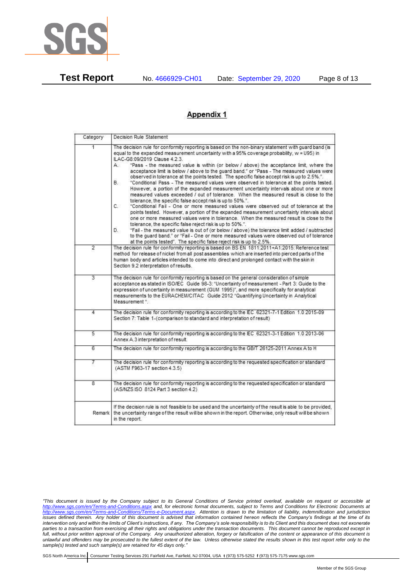

**Test Report** No. 4666929-CH01 Date: September 29, 2020 Page 8 of 13

# **Appendix 1**

| Category       | Decision Rule Statement                                                                                                                                                                                                                                                                                                                                                                                                                                                                                                                                                                                                                                                                                                                                                                                                                                                                                                                                                                                                                                                                                                                                                                                                                                                                                                                                                                                                                    |  |  |  |  |
|----------------|--------------------------------------------------------------------------------------------------------------------------------------------------------------------------------------------------------------------------------------------------------------------------------------------------------------------------------------------------------------------------------------------------------------------------------------------------------------------------------------------------------------------------------------------------------------------------------------------------------------------------------------------------------------------------------------------------------------------------------------------------------------------------------------------------------------------------------------------------------------------------------------------------------------------------------------------------------------------------------------------------------------------------------------------------------------------------------------------------------------------------------------------------------------------------------------------------------------------------------------------------------------------------------------------------------------------------------------------------------------------------------------------------------------------------------------------|--|--|--|--|
| 1.             | The decision rule for conformity reporting is based on the non-binary statement with guard band (is<br>equal to the expanded measurement uncertainty with a 95% coverage probability, w = U95) in<br>ILAC-G8:09/2019 Clause 4.2.3.<br>"Pass - the measured value is within (or below / above) the acceptance limit, where the<br>А.<br>acceptance limit is below / above to the quard band," or "Pass - The measured values were<br>observed in tolerance at the points tested. The specific false accept risk is up to 2.5%.".<br>В.<br>"Conditional Pass - The measured values were observed in tolerance at the points tested.<br>However, a portion of the expanded measurement uncertainty intervals about one or more<br>measured values exceeded / out of tolerance. When the measured result is close to the<br>tolerance, the specific false accept risk is up to 50%.".<br>C.<br>"Conditional Fail - One or more measured values were observed out of tolerance at the<br>points tested. However, a portion of the expanded measurement uncertainty intervals about<br>one or more measured values were in tolerance. When the measured result is close to the<br>tolerance, the specific false reject risk is up to 50%.".<br>"Fail - the measured value is out of (or below / above) the tolerance limit added / subtracted<br>D.<br>to the quard band." or "Fail - One or more measured values were observed out of tolerance |  |  |  |  |
| $\overline{2}$ | at the points tested". The specific false reject risk is up to 2.5%.<br>The decision rule for conformity reporting is based on BS EN 1811:2011+A1:2015: Reference test<br>method for release of nickel from all post assemblies which are inserted into pierced parts of the<br>human body and articles intended to come into direct and prolonged contact with the skin in<br>Section 9.2 interpretation of results.                                                                                                                                                                                                                                                                                                                                                                                                                                                                                                                                                                                                                                                                                                                                                                                                                                                                                                                                                                                                                      |  |  |  |  |
| $\overline{3}$ | The decision rule for conformity reporting is based on the general consideration of simple<br>acceptance as stated in ISO/IEC Guide 98-3: "Uncertainty of measurement - Part 3: Guide to the<br>expression of uncertainty in measurement (GUM 1995)", and more specifically for analytical<br>measurements to the EURACHEM/CITAC Guide 2012 "Quantifying Uncertainty in Analytical<br>Measurement *.                                                                                                                                                                                                                                                                                                                                                                                                                                                                                                                                                                                                                                                                                                                                                                                                                                                                                                                                                                                                                                       |  |  |  |  |
| 4              | The decision rule for conformity reporting is according to the IEC 62321-7-1 Edition 1.0 2015-09<br>Section 7: Table 1-(comparison to standard and interpretation of result)                                                                                                                                                                                                                                                                                                                                                                                                                                                                                                                                                                                                                                                                                                                                                                                                                                                                                                                                                                                                                                                                                                                                                                                                                                                               |  |  |  |  |
| $\overline{5}$ | The decision rule for conformity reporting is according to the IEC 62321-3-1 Edition 1.0 2013-06<br>Annex A.3 interpretation of result.                                                                                                                                                                                                                                                                                                                                                                                                                                                                                                                                                                                                                                                                                                                                                                                                                                                                                                                                                                                                                                                                                                                                                                                                                                                                                                    |  |  |  |  |
| 6              | The decision rule for conformity reporting is according to the GB/T 26125-2011 Annex A to H                                                                                                                                                                                                                                                                                                                                                                                                                                                                                                                                                                                                                                                                                                                                                                                                                                                                                                                                                                                                                                                                                                                                                                                                                                                                                                                                                |  |  |  |  |
| 7              | The decision rule for conformity reporting is according to the requested specification or standard<br>(ASTM F963-17 section 4.3.5)                                                                                                                                                                                                                                                                                                                                                                                                                                                                                                                                                                                                                                                                                                                                                                                                                                                                                                                                                                                                                                                                                                                                                                                                                                                                                                         |  |  |  |  |
| 8              | The decision rule for conformity reporting is according to the requested specification or standard<br>(AS/NZS ISO 8124 Part 3 section 4.2)                                                                                                                                                                                                                                                                                                                                                                                                                                                                                                                                                                                                                                                                                                                                                                                                                                                                                                                                                                                                                                                                                                                                                                                                                                                                                                 |  |  |  |  |
| Remark         | If the decision rule is not feasible to be used and the uncertainty of the result is able to be provided,<br>the uncertainty range of the result will be shown in the report. Otherwise, only result will be shown<br>in the report.                                                                                                                                                                                                                                                                                                                                                                                                                                                                                                                                                                                                                                                                                                                                                                                                                                                                                                                                                                                                                                                                                                                                                                                                       |  |  |  |  |

*<sup>&</sup>quot;This document is issued by the Company subject to its General Conditions of Service printed overleaf, available on request or accessible at <http://www.sgs.com/en/Terms-and-Conditions.aspx> and, for electronic format documents, subject to Terms and Conditions for Electronic Documents at [http://www.sgs.com/en/Terms-and-Conditions/Terms-e-Document.aspx.](http://www.sgs.com/en/Terms-and-Conditions/Terms-e-Document.aspx) Attention is drawn to the limitation of liability, indemnification and jurisdiction issues defined therein. Any holder of this document is advised that information contained hereon reflects the Company's findings at the time of its intervention only and within the limits of Client's instructions, if any. The Company's sole responsibility is to its Client and this document does not exonerate parties to a transaction from exercising all their rights and obligations under the transaction documents. This document cannot be reproduced except in full, without prior written approval of the Company. Any unauthorized alteration, forgery or falsification of the content or appearance of this document is unlawful and offenders may be prosecuted to the fullest extent of the law. Unless otherwise stated the results shown in this test report refer only to the sample(s) tested and such sample(s) are retained for 45 days only."*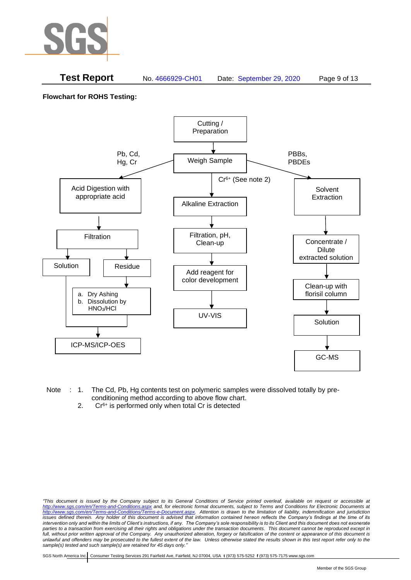

### **Test Report** No. 4666929-CH01 Date: September 29, 2020 Page 9 of 13

**Flowchart for ROHS Testing:**



- Note : 1. The Cd, Pb, Hg contents test on polymeric samples were dissolved totally by preconditioning method according to above flow chart.
	- 2.  $Cr<sup>6+</sup>$  is performed only when total Cr is detected

*<sup>&</sup>quot;This document is issued by the Company subject to its General Conditions of Service printed overleaf, available on request or accessible at <http://www.sgs.com/en/Terms-and-Conditions.aspx> and, for electronic format documents, subject to Terms and Conditions for Electronic Documents at [http://www.sgs.com/en/Terms-and-Conditions/Terms-e-Document.aspx.](http://www.sgs.com/en/Terms-and-Conditions/Terms-e-Document.aspx) Attention is drawn to the limitation of liability, indemnification and jurisdiction issues defined therein. Any holder of this document is advised that information contained hereon reflects the Company's findings at the time of its intervention only and within the limits of Client's instructions, if any. The Company's sole responsibility is to its Client and this document does not exonerate*  parties to a transaction from exercising all their rights and obligations under the transaction documents. This document cannot be reproduced except in *full, without prior written approval of the Company. Any unauthorized alteration, forgery or falsification of the content or appearance of this document is unlawful and offenders may be prosecuted to the fullest extent of the law. Unless otherwise stated the results shown in this test report refer only to the sample(s) tested and such sample(s) are retained for 45 days only."*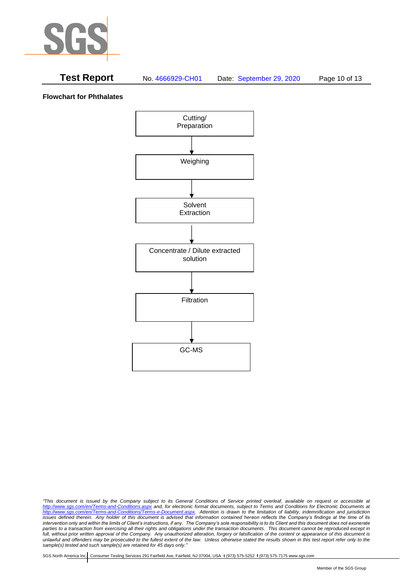

# **Test Report** No. 4666929-CH01 Date: September 29, 2020 Page 10 of 13

**Flowchart for Phthalates**



*<sup>&</sup>quot;This document is issued by the Company subject to its General Conditions of Service printed overleaf, available on request or accessible at <http://www.sgs.com/en/Terms-and-Conditions.aspx> and, for electronic format documents, subject to Terms and Conditions for Electronic Documents at [http://www.sgs.com/en/Terms-and-Conditions/Terms-e-Document.aspx.](http://www.sgs.com/en/Terms-and-Conditions/Terms-e-Document.aspx) Attention is drawn to the limitation of liability, indemnification and jurisdiction issues defined therein. Any holder of this document is advised that information contained hereon reflects the Company's findings at the time of its intervention only and within the limits of Client's instructions, if any. The Company's sole responsibility is to its Client and this document does not exonerate parties to a transaction from exercising all their rights and obligations under the transaction documents. This document cannot be reproduced except in full, without prior written approval of the Company. Any unauthorized alteration, forgery or falsification of the content or appearance of this document is unlawful and offenders may be prosecuted to the fullest extent of the law. Unless otherwise stated the results shown in this test report refer only to the sample(s) tested and such sample(s) are retained for 45 days only."*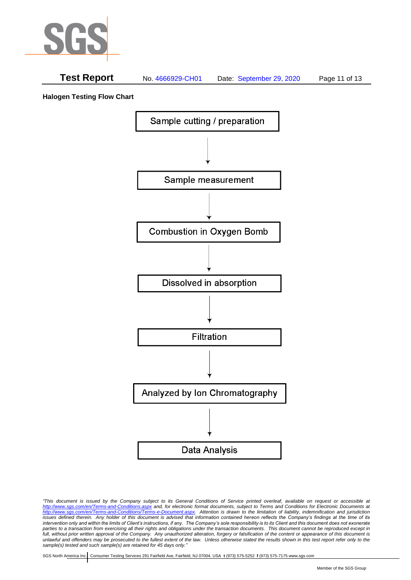

# **Test Report** No. 4666929-CH01 Date: September 29, 2020 Page 11 of 13

**Halogen Testing Flow Chart**



*"This document is issued by the Company subject to its General Conditions of Service printed overleaf, available on request or accessible at <http://www.sgs.com/en/Terms-and-Conditions.aspx> and, for electronic format documents, subject to Terms and Conditions for Electronic Documents at [http://www.sgs.com/en/Terms-and-Conditions/Terms-e-Document.aspx.](http://www.sgs.com/en/Terms-and-Conditions/Terms-e-Document.aspx) Attention is drawn to the limitation of liability, indemnification and jurisdiction issues defined therein. Any holder of this document is advised that information contained hereon reflects the Company's findings at the time of its intervention only and within the limits of Client's instructions, if any. The Company's sole responsibility is to its Client and this document does not exonerate parties to a transaction from exercising all their rights and obligations under the transaction documents. This document cannot be reproduced except in full, without prior written approval of the Company. Any unauthorized alteration, forgery or falsification of the content or appearance of this document is unlawful and offenders may be prosecuted to the fullest extent of the law. Unless otherwise stated the results shown in this test report refer only to the sample(s) tested and such sample(s) are retained for 45 days only."*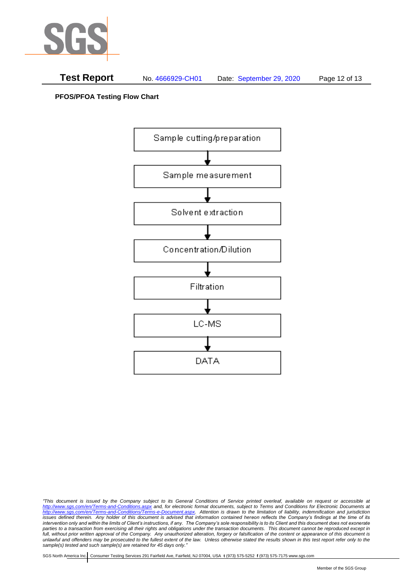



**PFOS/PFOA Testing Flow Chart**



*<sup>&</sup>quot;This document is issued by the Company subject to its General Conditions of Service printed overleaf, available on request or accessible at <http://www.sgs.com/en/Terms-and-Conditions.aspx> and, for electronic format documents, subject to Terms and Conditions for Electronic Documents at [http://www.sgs.com/en/Terms-and-Conditions/Terms-e-Document.aspx.](http://www.sgs.com/en/Terms-and-Conditions/Terms-e-Document.aspx) Attention is drawn to the limitation of liability, indemnification and jurisdiction issues defined therein. Any holder of this document is advised that information contained hereon reflects the Company's findings at the time of its intervention only and within the limits of Client's instructions, if any. The Company's sole responsibility is to its Client and this document does not exonerate parties to a transaction from exercising all their rights and obligations under the transaction documents. This document cannot be reproduced except in full, without prior written approval of the Company. Any unauthorized alteration, forgery or falsification of the content or appearance of this document is unlawful and offenders may be prosecuted to the fullest extent of the law. Unless otherwise stated the results shown in this test report refer only to the sample(s) tested and such sample(s) are retained for 45 days only."*